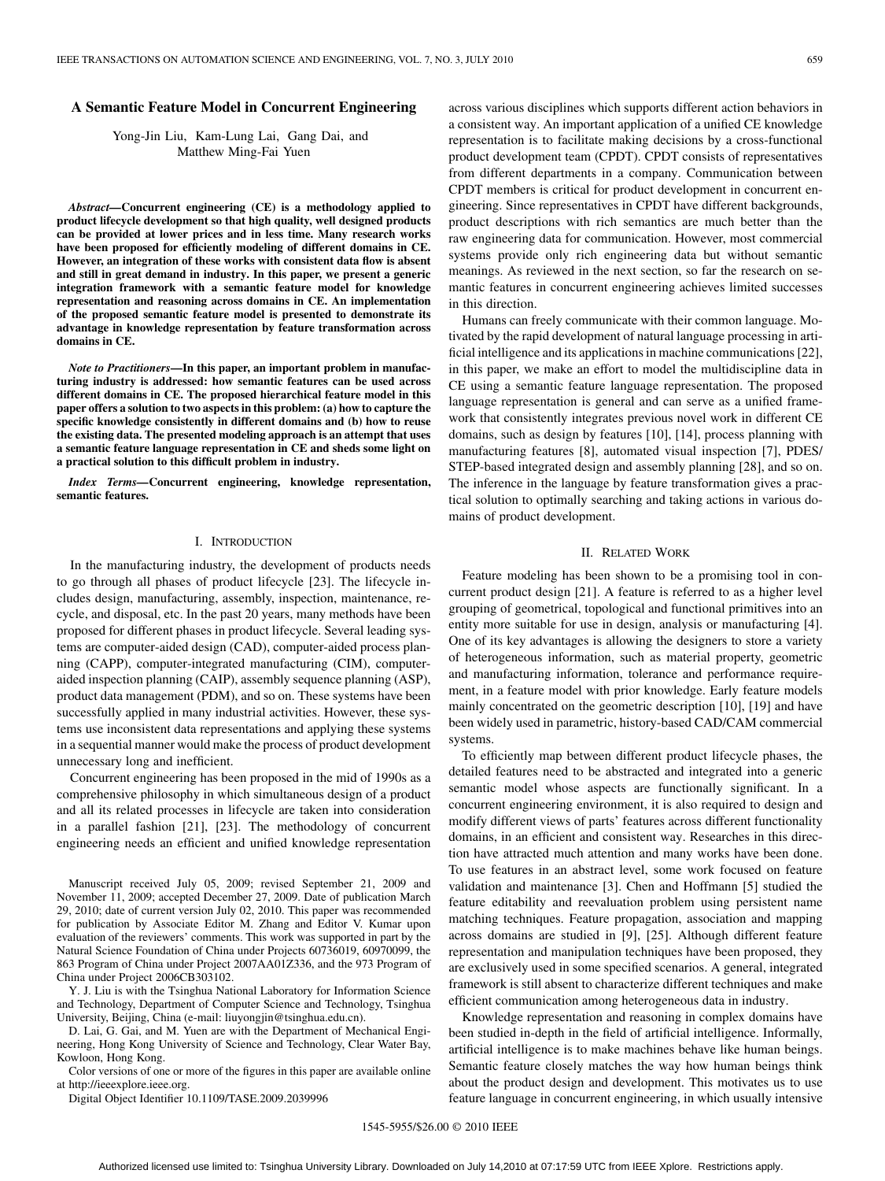# **A Semantic Feature Model in Concurrent Engineering**

Yong-Jin Liu, Kam-Lung Lai, Gang Dai, and Matthew Ming-Fai Yuen

*Abstract—***Concurrent engineering (CE) is a methodology applied to product lifecycle development so that high quality, well designed products can be provided at lower prices and in less time. Many research works have been proposed for efficiently modeling of different domains in CE. However, an integration of these works with consistent data flow is absent and still in great demand in industry. In this paper, we present a generic integration framework with a semantic feature model for knowledge representation and reasoning across domains in CE. An implementation of the proposed semantic feature model is presented to demonstrate its advantage in knowledge representation by feature transformation across domains in CE.**

*Note to Practitioners***—In this paper, an important problem in manufacturing industry is addressed: how semantic features can be used across different domains in CE. The proposed hierarchical feature model in this paper offers a solution to two aspects in this problem: (a) how to capture the specific knowledge consistently in different domains and (b) how to reuse the existing data. The presented modeling approach is an attempt that uses a semantic feature language representation in CE and sheds some light on a practical solution to this difficult problem in industry.**

*Index Terms—***Concurrent engineering, knowledge representation, semantic features.**

## I. INTRODUCTION

In the manufacturing industry, the development of products needs to go through all phases of product lifecycle [23]. The lifecycle includes design, manufacturing, assembly, inspection, maintenance, recycle, and disposal, etc. In the past 20 years, many methods have been proposed for different phases in product lifecycle. Several leading systems are computer-aided design (CAD), computer-aided process planning (CAPP), computer-integrated manufacturing (CIM), computeraided inspection planning (CAIP), assembly sequence planning (ASP), product data management (PDM), and so on. These systems have been successfully applied in many industrial activities. However, these systems use inconsistent data representations and applying these systems in a sequential manner would make the process of product development unnecessary long and inefficient.

Concurrent engineering has been proposed in the mid of 1990s as a comprehensive philosophy in which simultaneous design of a product and all its related processes in lifecycle are taken into consideration in a parallel fashion [21], [23]. The methodology of concurrent engineering needs an efficient and unified knowledge representation

Manuscript received July 05, 2009; revised September 21, 2009 and November 11, 2009; accepted December 27, 2009. Date of publication March 29, 2010; date of current version July 02, 2010. This paper was recommended for publication by Associate Editor M. Zhang and Editor V. Kumar upon evaluation of the reviewers' comments. This work was supported in part by the Natural Science Foundation of China under Projects 60736019, 60970099, the 863 Program of China under Project 2007AA01Z336, and the 973 Program of China under Project 2006CB303102.

Y. J. Liu is with the Tsinghua National Laboratory for Information Science and Technology, Department of Computer Science and Technology, Tsinghua University, Beijing, China (e-mail: liuyongjin@tsinghua.edu.cn).

D. Lai, G. Gai, and M. Yuen are with the Department of Mechanical Engineering, Hong Kong University of Science and Technology, Clear Water Bay, Kowloon, Hong Kong.

Color versions of one or more of the figures in this paper are available online at http://ieeexplore.ieee.org.

Digital Object Identifier 10.1109/TASE.2009.2039996

across various disciplines which supports different action behaviors in a consistent way. An important application of a unified CE knowledge representation is to facilitate making decisions by a cross-functional product development team (CPDT). CPDT consists of representatives from different departments in a company. Communication between CPDT members is critical for product development in concurrent engineering. Since representatives in CPDT have different backgrounds, product descriptions with rich semantics are much better than the raw engineering data for communication. However, most commercial systems provide only rich engineering data but without semantic meanings. As reviewed in the next section, so far the research on semantic features in concurrent engineering achieves limited successes in this direction.

Humans can freely communicate with their common language. Motivated by the rapid development of natural language processing in artificial intelligence and its applications in machine communications [22], in this paper, we make an effort to model the multidiscipline data in CE using a semantic feature language representation. The proposed language representation is general and can serve as a unified framework that consistently integrates previous novel work in different CE domains, such as design by features [10], [14], process planning with manufacturing features [8], automated visual inspection [7], PDES/ STEP-based integrated design and assembly planning [28], and so on. The inference in the language by feature transformation gives a practical solution to optimally searching and taking actions in various domains of product development.

## II. RELATED WORK

Feature modeling has been shown to be a promising tool in concurrent product design [21]. A feature is referred to as a higher level grouping of geometrical, topological and functional primitives into an entity more suitable for use in design, analysis or manufacturing [4]. One of its key advantages is allowing the designers to store a variety of heterogeneous information, such as material property, geometric and manufacturing information, tolerance and performance requirement, in a feature model with prior knowledge. Early feature models mainly concentrated on the geometric description [10], [19] and have been widely used in parametric, history-based CAD/CAM commercial systems.

To efficiently map between different product lifecycle phases, the detailed features need to be abstracted and integrated into a generic semantic model whose aspects are functionally significant. In a concurrent engineering environment, it is also required to design and modify different views of parts' features across different functionality domains, in an efficient and consistent way. Researches in this direction have attracted much attention and many works have been done. To use features in an abstract level, some work focused on feature validation and maintenance [3]. Chen and Hoffmann [5] studied the feature editability and reevaluation problem using persistent name matching techniques. Feature propagation, association and mapping across domains are studied in [9], [25]. Although different feature representation and manipulation techniques have been proposed, they are exclusively used in some specified scenarios. A general, integrated framework is still absent to characterize different techniques and make efficient communication among heterogeneous data in industry.

Knowledge representation and reasoning in complex domains have been studied in-depth in the field of artificial intelligence. Informally, artificial intelligence is to make machines behave like human beings. Semantic feature closely matches the way how human beings think about the product design and development. This motivates us to use feature language in concurrent engineering, in which usually intensive

1545-5955/\$26.00 © 2010 IEEE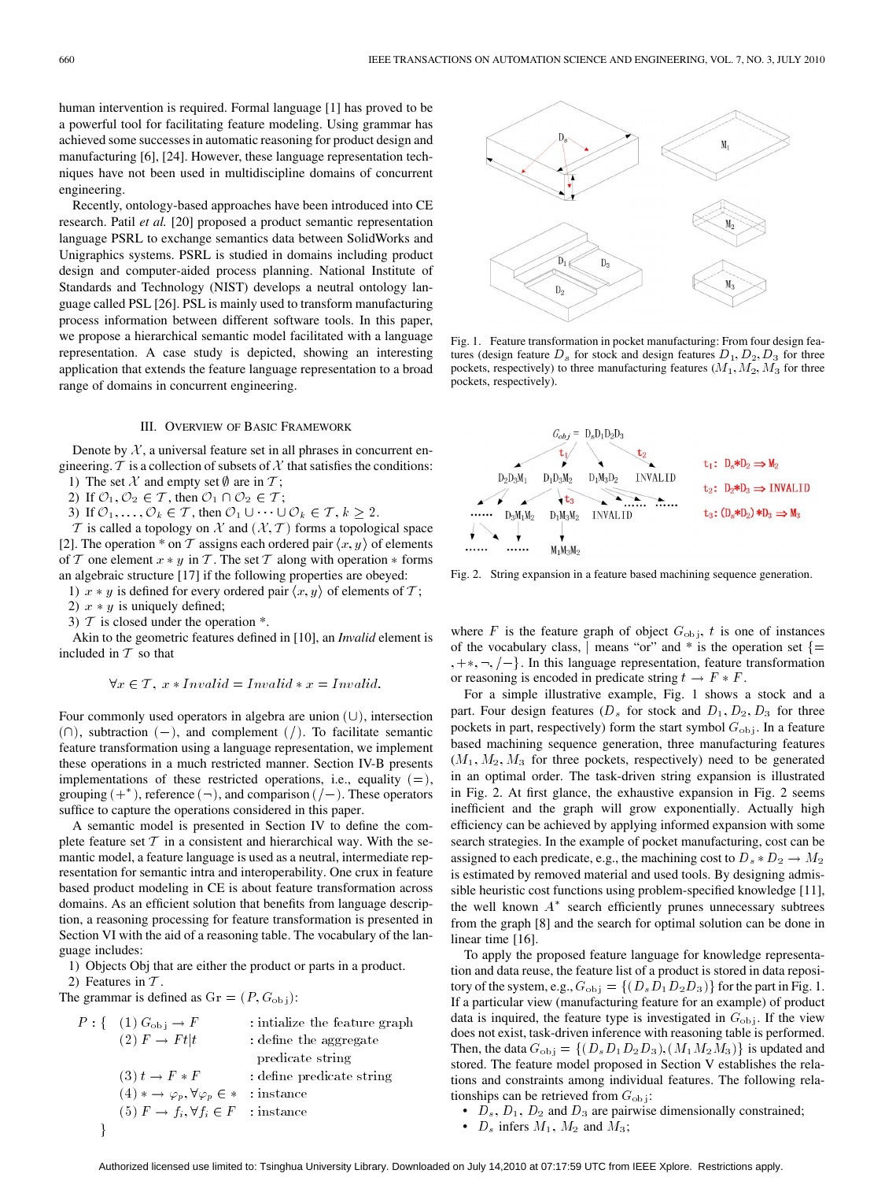human intervention is required. Formal language [1] has proved to be a powerful tool for facilitating feature modeling. Using grammar has achieved some successes in automatic reasoning for product design and manufacturing [6], [24]. However, these language representation techniques have not been used in multidiscipline domains of concurrent engineering.

Recently, ontology-based approaches have been introduced into CE research. Patil *et al.* [20] proposed a product semantic representation language PSRL to exchange semantics data between SolidWorks and Unigraphics systems. PSRL is studied in domains including product design and computer-aided process planning. National Institute of Standards and Technology (NIST) develops a neutral ontology language called PSL [26]. PSL is mainly used to transform manufacturing process information between different software tools. In this paper, we propose a hierarchical semantic model facilitated with a language representation. A case study is depicted, showing an interesting application that extends the feature language representation to a broad range of domains in concurrent engineering.

## III. OVERVIEW OF BASIC FRAMEWORK

Denote by  $\mathcal{X}$ , a universal feature set in all phrases in concurrent engineering. T is a collection of subsets of X that satisfies the conditions: 1) The set  $\mathcal X$  and empty set  $\emptyset$  are in  $\mathcal T$ ;

2) If  $\mathcal{O}_1, \mathcal{O}_2 \in \mathcal{T}$ , then  $\mathcal{O}_1 \cap \mathcal{O}_2 \in \mathcal{T}$ ;

3) If  $\mathcal{O}_1, \ldots, \mathcal{O}_k \in \mathcal{T}$ , then  $\mathcal{O}_1 \cup \cdots \cup \mathcal{O}_k \in \mathcal{T}$ ,  $k \geq 2$ .

 $\mathcal T$  is called a topology on  $\mathcal X$  and  $(\mathcal X, \mathcal T)$  forms a topological space [2]. The operation  $*$  on  $\mathcal T$  assigns each ordered pair  $\langle x, y \rangle$  of elements of T one element  $x * y$  in T. The set T along with operation  $*$  forms an algebraic structure [17] if the following properties are obeyed:

1)  $x * y$  is defined for every ordered pair  $\langle x, y \rangle$  of elements of T;

2)  $x * y$  is uniquely defined;

3)  $T$  is closed under the operation  $*$ .

Akin to the geometric features defined in [10], an *Invalid* element is included in  $T$  so that

$$
\forall x \in \mathcal{T}, \ x * Invalid = Invalid * x = Invalid.
$$

Four commonly used operators in algebra are union  $(U)$ , intersection  $( \cap )$ , subtraction  $( - )$ , and complement  $( / )$ . To facilitate semantic feature transformation using a language representation, we implement these operations in a much restricted manner. Section IV-B presents implementations of these restricted operations, i.e., equality  $(=)$ , grouping  $(+^*)$ , reference  $(\neg)$ , and comparison  $(/-)$ . These operators suffice to capture the operations considered in this paper.

A semantic model is presented in Section IV to define the complete feature set  $\mathcal T$  in a consistent and hierarchical way. With the semantic model, a feature language is used as a neutral, intermediate representation for semantic intra and interoperability. One crux in feature based product modeling in CE is about feature transformation across domains. As an efficient solution that benefits from language description, a reasoning processing for feature transformation is presented in Section VI with the aid of a reasoning table. The vocabulary of the language includes:

1) Objects Obj that are either the product or parts in a product.

2) Features in  $T$ .

The grammar is defined as  $\text{Gr} = (P, G_{\text{obj}})$ :

| $P: \{ (1) G_{\text{obj}} \rightarrow F \}$            | : intialize the feature graph |
|--------------------------------------------------------|-------------------------------|
| $(2) F \rightarrow F t   t$                            | : define the aggregate        |
|                                                        | predicate string              |
| $(3) t \rightarrow F * F$                              | : define predicate string     |
| $(4) * \rightarrow \varphi_p, \forall \varphi_p \in *$ | $:$ instance                  |
| $(5) F \rightarrow f_i, \forall f_i \in F$             | $:$ instance                  |
|                                                        |                               |



Fig. 1. Feature transformation in pocket manufacturing: From four design features (design feature  $D_s$  for stock and design features  $D_1, D_2, D_3$  for three pockets, respectively) to three manufacturing features  $(M_1, M_2, M_3)$  for three pockets, respectively).



Fig. 2. String expansion in a feature based machining sequence generation.

where  $F$  is the feature graph of object  $G_{obj}$ , t is one of instances of the vocabulary class,  $\parallel$  means "or" and  $*$  is the operation set  $\parallel$  =  $, +*, \neg, /-$ . In this language representation, feature transformation or reasoning is encoded in predicate string  $t \to F * F$ .

For a simple illustrative example, Fig. 1 shows a stock and a part. Four design features ( $D_s$  for stock and  $D_1, D_2, D_3$  for three pockets in part, respectively) form the start symbol  $G_{obj}$ . In a feature based machining sequence generation, three manufacturing features  $(M_1, M_2, M_3)$  for three pockets, respectively) need to be generated in an optimal order. The task-driven string expansion is illustrated in Fig. 2. At first glance, the exhaustive expansion in Fig. 2 seems inefficient and the graph will grow exponentially. Actually high efficiency can be achieved by applying informed expansion with some search strategies. In the example of pocket manufacturing, cost can be assigned to each predicate, e.g., the machining cost to  $D_s * D_2 \to M_2$ is estimated by removed material and used tools. By designing admissible heuristic cost functions using problem-specified knowledge [11], the well known  $A^*$  search efficiently prunes unnecessary subtrees from the graph [8] and the search for optimal solution can be done in linear time [16].

To apply the proposed feature language for knowledge representation and data reuse, the feature list of a product is stored in data repository of the system, e.g.,  $G_{obj} = \{(D_s D_1 D_2 D_3)\}\$ for the part in Fig. 1. If a particular view (manufacturing feature for an example) of product data is inquired, the feature type is investigated in  $G_{obj}$ . If the view does not exist, task-driven inference with reasoning table is performed. Then, the data  $G_{obj} = \{ (D_s D_1 D_2 D_3), (M_1 M_2 M_3) \}$  is updated and stored. The feature model proposed in Section V establishes the relations and constraints among individual features. The following relationships can be retrieved from  $G_{obj}$ :

- $D_s$ ,  $D_1$ ,  $D_2$  and  $D_3$  are pairwise dimensionally constrained;
- $D_s$  infers  $M_1$ ,  $M_2$  and  $M_3$ ;

Authorized licensed use limited to: Tsinghua University Library. Downloaded on July 14,2010 at 07:17:59 UTC from IEEE Xplore. Restrictions apply.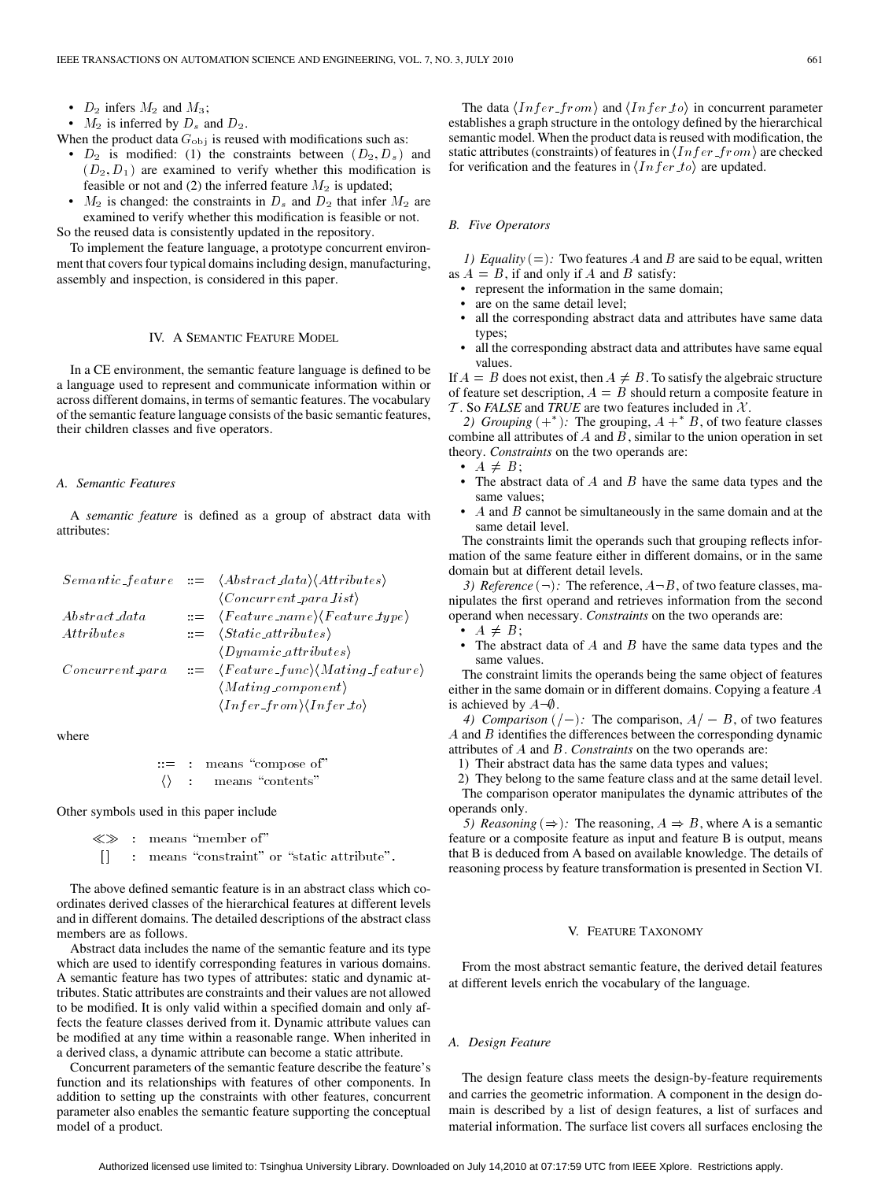•  $D_2$  infers  $M_2$  and  $M_3$ ;

•  $M_2$  is inferred by  $D_s$  and  $D_2$ .

- When the product data  $G_{obj}$  is reused with modifications such as: •  $D_2$  is modified: (1) the constraints between  $(D_2, D_s)$  and  $(D_2, D_1)$  are examined to verify whether this modification is
	- feasible or not and (2) the inferred feature  $M_2$  is updated; •  $M_2$  is changed: the constraints in  $D_s$  and  $D_2$  that infer  $M_2$  are examined to verify whether this modification is feasible or not.

So the reused data is consistently updated in the repository.

To implement the feature language, a prototype concurrent environment that covers four typical domains including design, manufacturing, assembly and inspection, is considered in this paper.

## IV. A SEMANTIC FEATURE MODEL

In a CE environment, the semantic feature language is defined to be a language used to represent and communicate information within or across different domains, in terms of semantic features. The vocabulary of the semantic feature language consists of the basic semantic features, their children classes and five operators.

### *A. Semantic Features*

A *semantic feature* is defined as a group of abstract data with attributes:

|                 | $Semantic_feature ::= \langle Abstract_data \rangle \langle Attributes \rangle$ |
|-----------------|---------------------------------------------------------------------------------|
|                 | $\langle Concurrent\_para$ list $\rangle$                                       |
| Abstract data   | $\therefore = \langle Feature\_name \rangle \langle Feature\_type \rangle$      |
| Attributes      | $\cdots = \langle Static\_attributes \rangle$                                   |
|                 | $\langle Dynamic\_attributes \rangle$                                           |
| Concurrent para | $\therefore = \langle Feature\_func \rangle \langle Mating\_feature \rangle$    |
|                 | $\langle Mating\_component \rangle$                                             |
|                 | $\langle Infer\_{from}\rangle$ $\langle Infer\_{to}\rangle$                     |

where

 $::=$  : means "compose of"  $\langle \rangle$  : means "contents"

Other symbols used in this paper include

```
\ll \gg : means "member of"
```
 $[$ ]  $\therefore$  means "constraint" or "static attribute".

The above defined semantic feature is in an abstract class which coordinates derived classes of the hierarchical features at different levels and in different domains. The detailed descriptions of the abstract class members are as follows.

Abstract data includes the name of the semantic feature and its type which are used to identify corresponding features in various domains. A semantic feature has two types of attributes: static and dynamic attributes. Static attributes are constraints and their values are not allowed to be modified. It is only valid within a specified domain and only affects the feature classes derived from it. Dynamic attribute values can be modified at any time within a reasonable range. When inherited in a derived class, a dynamic attribute can become a static attribute.

Concurrent parameters of the semantic feature describe the feature's function and its relationships with features of other components. In addition to setting up the constraints with other features, concurrent parameter also enables the semantic feature supporting the conceptual model of a product.

The data  $\langle Infer\_from \rangle$  and  $\langle Infer\_to \rangle$  in concurrent parameter establishes a graph structure in the ontology defined by the hierarchical semantic model. When the product data is reused with modification, the static attributes (constraints) of features in  $\langle Infer\,from \rangle$  are checked for verification and the features in  $\langle Infer\_to \rangle$  are updated.

#### *B. Five Operators*

*1) Equality* (=): Two features A and B are said to be equal, written as  $A = B$ , if and only if A and B satisfy:

- represent the information in the same domain;
- are on the same detail level;
- all the corresponding abstract data and attributes have same data types;
- all the corresponding abstract data and attributes have same equal values.

If  $A = B$  does not exist, then  $A \neq B$ . To satisfy the algebraic structure of feature set description,  $A = B$  should return a composite feature in  $T$ . So *FALSE* and *TRUE* are two features included in  $X$ .

2) *Grouping*  $(+^*)$ : The grouping,  $A +^* B$ , of two feature classes combine all attributes of  $A$  and  $B$ , similar to the union operation in set theory. *Constraints* on the two operands are:

- $A \neq B$ ;
- The abstract data of  $A$  and  $B$  have the same data types and the same values;
- $A$  and  $B$  cannot be simultaneously in the same domain and at the same detail level.

The constraints limit the operands such that grouping reflects information of the same feature either in different domains, or in the same domain but at different detail levels.

3) Reference  $(\neg)$ : The reference,  $A \neg B$ , of two feature classes, manipulates the first operand and retrieves information from the second operand when necessary. *Constraints* on the two operands are: •  $A \neq B$ ;

• The abstract data of  $A$  and  $B$  have the same data types and the same values.

The constraint limits the operands being the same object of features either in the same domain or in different domains. Copying a feature A is achieved by  $A \neg \emptyset$ .

4) Comparison  $(-)$ : The comparison,  $A/- B$ , of two features  $A$  and  $B$  identifies the differences between the corresponding dynamic attributes of A and B. Constraints on the two operands are:

1) Their abstract data has the same data types and values;

2) They belong to the same feature class and at the same detail level.

The comparison operator manipulates the dynamic attributes of the operands only.

*5) Reasoning*  $(\Rightarrow)$ : The reasoning,  $A \Rightarrow B$ , where A is a semantic feature or a composite feature as input and feature B is output, means that B is deduced from A based on available knowledge. The details of reasoning process by feature transformation is presented in Section VI.

## V. FEATURE TAXONOMY

From the most abstract semantic feature, the derived detail features at different levels enrich the vocabulary of the language.

## *A. Design Feature*

The design feature class meets the design-by-feature requirements and carries the geometric information. A component in the design domain is described by a list of design features, a list of surfaces and material information. The surface list covers all surfaces enclosing the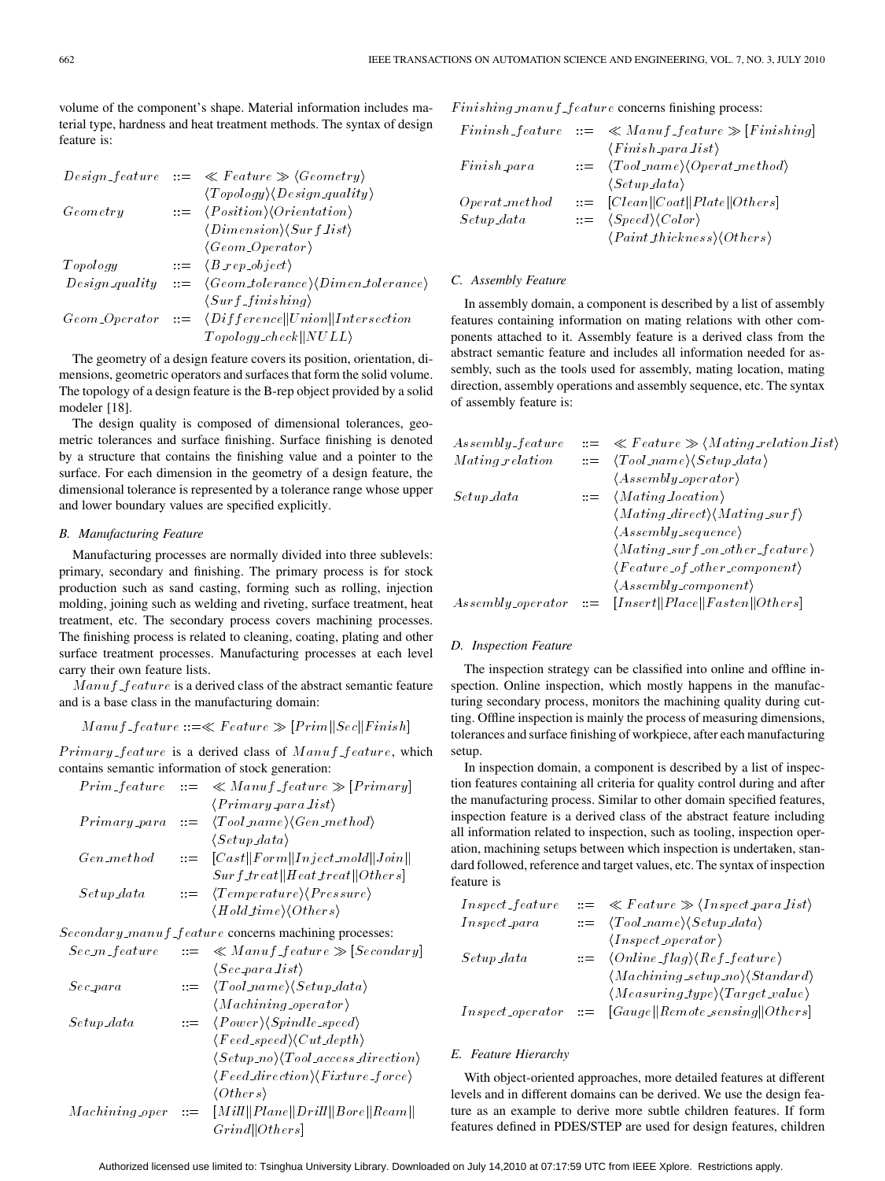volume of the component's shape. Material information includes material type, hardness and heat treatment methods. The syntax of design feature is:

- - - -  - - - 
-- - -- - - - - - - - - - - - --- -- - - - --- -- -!!

The geometry of a design feature covers its position, orientation, dimensions, geometric operators and surfaces that form the solid volume. The topology of a design feature is the B-rep object provided by a solid modeler [18].

The design quality is composed of dimensional tolerances, geometric tolerances and surface finishing. Surface finishing is denoted by a structure that contains the finishing value and a pointer to the surface. For each dimension in the geometry of a design feature, the dimensional tolerance is represented by a tolerance range whose upper and lower boundary values are specified explicitly.

# *B. Manufacturing Feature*

Manufacturing processes are normally divided into three sublevels: primary, secondary and finishing. The primary process is for stock production such as sand casting, forming such as rolling, injection molding, joining such as welding and riveting, surface treatment, heat treatment, etc. The secondary process covers machining processes. The finishing process is related to cleaning, coating, plating and other surface treatment processes. Manufacturing processes at each level carry their own feature lists.

 $M$  anu f- $feature$  is a derived class of the abstract semantic feature and is a base class in the manufacturing domain:

$$
Manut{\text{-}}feature::=\ll Feature\gg[Prim||Sec||Finish]
$$

 $Primary\_{feature}$  is a derived class of  $Manut\_{feature}$ , which contains semantic information of stock generation:

| Prim_feature  | $\therefore = \ll Manuf_features \gg [Primary]$                       |
|---------------|-----------------------------------------------------------------------|
|               | $\langle Primary\_para\_list \rangle$                                 |
| Primary para  | $\therefore = \langle Tool\_name \rangle \langle Gen\_method \rangle$ |
|               | $\langle Setup\_data \rangle$                                         |
| Gen_method    | $\equiv  Cast  Form  Inject_mold  Join  $                             |
|               | $Surf\,treat \parallel Heat\_treat \parallel Others]$                 |
| $Setup\_data$ | $\equiv \langle Temperature \rangle \langle Pressure \rangle$         |
|               | $\langle Hold_time\rangle\langle Others\rangle$                       |
|               |                                                                       |

### Secondary\_manuf\_feature concerns machining processes:

| Sec_m_feature         | $\therefore = \ll Manuf_features \gg [Secondary]$               |
|-----------------------|-----------------------------------------------------------------|
|                       | $\langle Sec\_para\_list \rangle$                               |
| $Sec\_para$           | $\equiv \langle Tool_name \rangle \langle Setup_data \rangle$   |
|                       | $\langle \textit{M} \textit{aching\_operator} \rangle$          |
| Setup data            | $\equiv \langle Power \rangle \langle Spin \, ]$                |
|                       | $\langle Feed\_speed \rangle \langle Cut\_depth \rangle$        |
|                       | $\langle Setup\_no \rangle$ (Tool_access_direction)             |
|                       | $\langle Feed\_direction \rangle \langle Future\_force \rangle$ |
|                       | $\langle Others \rangle$                                        |
| $Maching\_{oper}$ ::= | [Mill  Plane  Drill  Bore  Rem                                  |
|                       | Grind  Others                                                   |

Finishing manuf feature concerns finishing process:

|                  | Finingh feature $\therefore = \ll Manuf_features \gg  Finishing $       |
|------------------|-------------------------------------------------------------------------|
|                  | $\langle Finish\_para\_list\rangle$                                     |
| Finish para      | $\therefore = \langle Tool_name \rangle \langle Operat\_method \rangle$ |
|                  | $\langle Setup \; data \rangle$                                         |
| $Operat\_method$ | $\therefore$ $[Clear  Cost  Plate  Others]$                             |
| Setup_data       | $\equiv \langle Speed \rangle \langle Color \rangle$                    |
|                  | $\langle Paint\_thickness \rangle \langle Others \rangle$               |

# *C. Assembly Feature*

In assembly domain, a component is described by a list of assembly features containing information on mating relations with other components attached to it. Assembly feature is a derived class from the abstract semantic feature and includes all information needed for assembly, such as the tools used for assembly, mating location, mating direction, assembly operations and assembly sequence, etc. The syntax of assembly feature is:

| Assembly feature       | $\therefore = \ll Feature \gg \langle Mating\_{relation\ list} \rangle$                                                   |
|------------------------|---------------------------------------------------------------------------------------------------------------------------|
| <i>Mating_relation</i> | $\equiv \langle Tool_name \rangle \langle Setup_data \rangle$                                                             |
|                        | $\langle Assembly\_operator\rangle$                                                                                       |
| Setup_data             | $ ::= \langle Mating\ location \rangle$                                                                                   |
|                        | $\langle Mating\_direct \rangle \langle Mating\_surf \rangle$                                                             |
|                        | $\langle Assembly\_sequence \rangle$                                                                                      |
|                        | $\langle Mating\_surf\_on\_other\_feature \rangle$                                                                        |
|                        | $\langle Feature\_of\_other\_component \rangle$                                                                           |
|                        | $\langle Assembly\_component \rangle$                                                                                     |
|                        | $\emph{Assembl} \textit{logerator} \text{ ::= } [\emph{Insert} \  \emph{Place} \  \emph{Fast} \  \emph{Other} \emph{s} ]$ |

## *D. Inspection Feature*

The inspection strategy can be classified into online and offline inspection. Online inspection, which mostly happens in the manufacturing secondary process, monitors the machining quality during cutting. Offline inspection is mainly the process of measuring dimensions, tolerances and surface finishing of workpiece, after each manufacturing setup.

In inspection domain, a component is described by a list of inspection features containing all criteria for quality control during and after the manufacturing process. Similar to other domain specified features, inspection feature is a derived class of the abstract feature including all information related to inspection, such as tooling, inspection operation, machining setups between which inspection is undertaken, standard followed, reference and target values, etc. The syntax of inspection feature is

| $Insect\_feature$       | $\therefore = \ll Feature \gg \langle Inspect\_para\_list \rangle$              |
|-------------------------|---------------------------------------------------------------------------------|
| $Insect\_para$          | $\equiv \langle Tool_name \rangle \langle Setup_data \rangle$                   |
|                         | $\langle Inspect\_operator\rangle$                                              |
| Setup data              | $\equiv \langle Online_flag \rangle \langle Ref_feature \rangle$                |
|                         | $\langle \textit{Maching\_setup\_no} \rangle \langle \textit{Standard} \rangle$ |
|                         | $\langle Measuring\ type \rangle \langle Target\_value \rangle$                 |
| <i>Inspect_operator</i> | $\therefore =  Gauge  $ Remote_sensing    Others                                |

## *E. Feature Hierarchy*

With object-oriented approaches, more detailed features at different levels and in different domains can be derived. We use the design feature as an example to derive more subtle children features. If form features defined in PDES/STEP are used for design features, children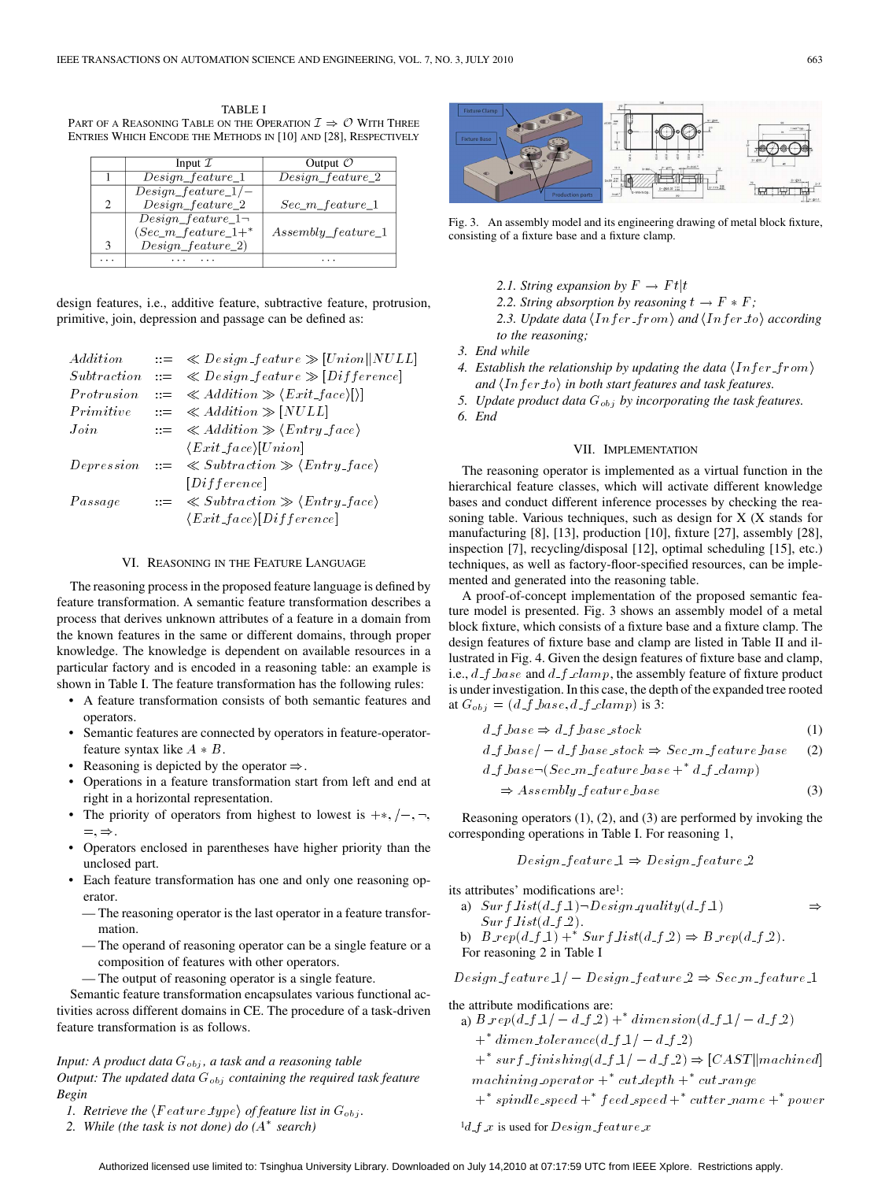TABLE I PART OF A REASONING TABLE ON THE OPERATION  $\mathcal{I} \Rightarrow \mathcal{O}$  With Three ENTRIES WHICH ENCODE THE METHODS IN [10] AND [28], RESPECTIVELY

|                | Input $\mathcal I$       | Output $\mathcal O$    |
|----------------|--------------------------|------------------------|
|                | $Design\_feature\_1$     | $Design\_feature_2$    |
|                | $Design\_feature\_1/-$   |                        |
| $\mathfrak{D}$ | $Design\_feature_2$      | Sec m feature 1        |
|                | Design feature $1\neg$   |                        |
|                | $(Sec\_m\_feature\_1+^*$ | $Assently\_feature\_1$ |
| 3              | $Design\_feature_2)$     |                        |
| .              |                          |                        |

design features, i.e., additive feature, subtractive feature, protrusion, primitive, join, depression and passage can be defined as:

| Addition    | ::= | $\ll$ Design_features $\gg$ [Union  NULL]             |
|-------------|-----|-------------------------------------------------------|
| Subtraction | ::= | $\ll$ Design_features $\gg$ [Difference]              |
| Protrusion  | ::= | $\ll$ Addition $\gg$ $\langle Ext f_{acc} \rangle$ ]) |
| Primitive   | ::= | $\ll$ Addition $\gg$ $\langle Entry_face \rangle$     |
| Join        | ::= | $\ll$ Addition $\gg$ $\langle Entry_face \rangle$     |
| Depression  | ::= | $\ll$ Subtraction $\gg$ $\langle Entry_face \rangle$  |
| Passage     | ::= | $\ll$ Subtraction $\gg$ $\langle Entry_face \rangle$  |
| Passage     | ::= | $\ll$ Subtraction $\gg$ $\langle Entry_face \rangle$  |

### VI. REASONING IN THE FEATURE LANGUAGE

The reasoning process in the proposed feature language is defined by feature transformation. A semantic feature transformation describes a process that derives unknown attributes of a feature in a domain from the known features in the same or different domains, through proper knowledge. The knowledge is dependent on available resources in a particular factory and is encoded in a reasoning table: an example is shown in Table I. The feature transformation has the following rules:

- A feature transformation consists of both semantic features and operators.
- Semantic features are connected by operators in feature-operatorfeature syntax like  $A * B$ .
- Reasoning is depicted by the operator  $\Rightarrow$ .
- Operations in a feature transformation start from left and end at right in a horizontal representation.
- The priority of operators from highest to lowest is  $+*,/-, \neg,$  $=$ ,  $\Rightarrow$ .
- Operators enclosed in parentheses have higher priority than the unclosed part.
- Each feature transformation has one and only one reasoning operator.
- The reasoning operator is the last operator in a feature transformation.
- The operand of reasoning operator can be a single feature or a composition of features with other operators.
- The output of reasoning operator is a single feature.

Semantic feature transformation encapsulates various functional activities across different domains in CE. The procedure of a task-driven feature transformation is as follows.

*Input: A product data*  $G_{obj}$ , a task and a reasoning table Output: The updated data  $G_{obj}$  containing the required task feature *Begin*

*1.* Retrieve the  $\langle Feature\ type\rangle$  of feature list in  $G_{obj}$ .

*2. While (the task is not done) do ( search)*



Fig. 3. An assembly model and its engineering drawing of metal block fixture, consisting of a fixture base and a fixture clamp.

2.1. String expansion by  $F \to F t | t$ 

2.2. String absorption by reasoning  $t \to F * F$ ;

2.3. Update data  $\langle Infer\text{-}from \rangle$  and  $\langle Infer\text{-}to \rangle$  according *to the reasoning;*

*3. End while*

- *4. Establish the relationship by updating the data*  $\langle Infer\ from\rangle$ and  $\langle$ Infer to $\rangle$  in both start features and task features.
- 5. Update product data  $G_{obj}$  by incorporating the task features.
- *6. End*

## VII. IMPLEMENTATION

The reasoning operator is implemented as a virtual function in the hierarchical feature classes, which will activate different knowledge bases and conduct different inference processes by checking the reasoning table. Various techniques, such as design for X (X stands for manufacturing [8], [13], production [10], fixture [27], assembly [28], inspection [7], recycling/disposal [12], optimal scheduling [15], etc.) techniques, as well as factory-floor-specified resources, can be implemented and generated into the reasoning table.

A proof-of-concept implementation of the proposed semantic feature model is presented. Fig. 3 shows an assembly model of a metal block fixture, which consists of a fixture base and a fixture clamp. The design features of fixture base and clamp are listed in Table II and illustrated in Fig. 4. Given the design features of fixture base and clamp, i.e.,  $d\_f\_base$  and  $d\_f\_clamp$ , the assembly feature of fixture product is under investigation. In this case, the depth of the expanded tree rooted at  $G_{obj} = (d\_f\_base, d\_f\_clamp)$  is 3:

$$
d\_f\_base \Rightarrow d\_f\_base\_stock
$$
 (1)

$$
d\_f\_base = d\_f\_base\_stock \Rightarrow Sec\_m\_feature\_base \qquad (2)
$$

$$
d\_f\_base \neg (Sec\_m\_feature\_base + ^* d\_f\_clamp)
$$

$$
\Rightarrow \text{Assembl } y\_feature\_base \tag{3}
$$

Reasoning operators (1), (2), and (3) are performed by invoking the corresponding operations in Table I. For reasoning 1,

 $Design\_feature\_1 \Rightarrow Design\_feature\_2$ 

its attributes' modifications are1:

a)  $Surf\_list(d\_f\_1) \neg Design\_quality(d\_f\_1)$   $\Rightarrow$  $Surf\_list(d\_f\_2).$ b)  $B_{\text{}rep}(d_f\text{-}1) +^* Surf\_list(d_f\text{-}2) \Rightarrow B_{\text{}rep}(d_f\text{-}2).$ For reasoning 2 in Table I

 $Design\_feature\_1 / - Design\_feature\_2 \Rightarrow Sec\_m\_feature\_1$ 

the attribute modifications are: a)  $B_{r}ep(d_{r}-1) - d_{r}-2) +$ <sup>\*</sup> dimension(d\_f\_1) - d\_f\_2)  $+$ <sup>\*</sup> dimen\_tolerance(d\_f\_1/ - d\_f\_2)  $+^*$  surf\_finishing( $d_f_1$  -  $d_f_2$ )  $\Rightarrow$  [CAST ||machined]  $\textit{machining\_operator} +^* \textit{cut\_depth} +^* \textit{cut\_range}$  $+^*$  spindle\_speed  $+^*$  feed\_speed  $+^*$  cutter\_name  $+^*$  power

 $^{1}d$ -f-x is used for  $Design{\_}feature{\_}x$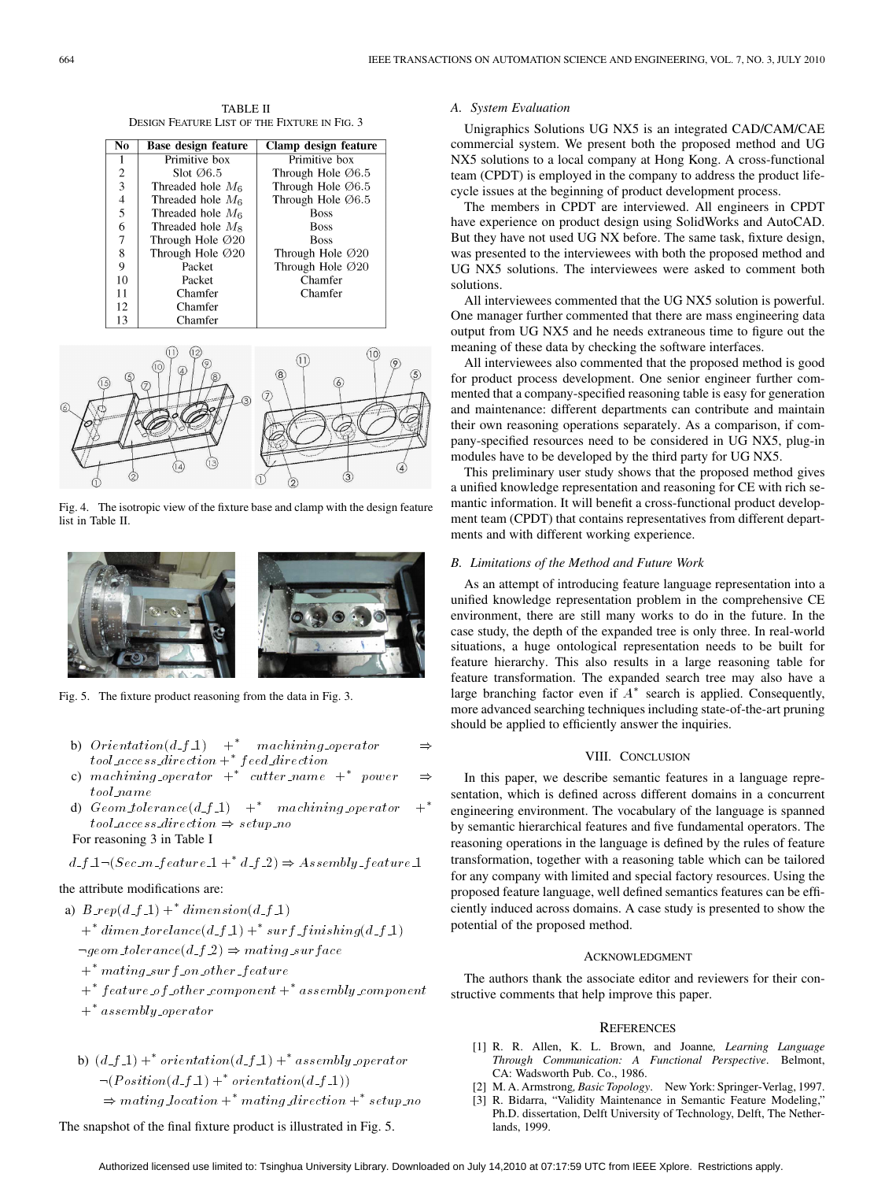TABLE II DESIGN FEATURE LIST OF THE FIXTURE IN FIG. 3

| N <sub>0</sub> | Base design feature         | Clamp design feature          |
|----------------|-----------------------------|-------------------------------|
|                | Primitive box               | Primitive box                 |
| $\overline{2}$ | Slot $\emptyset$ 6.5        | Through Hole $\emptyset$ 6.5  |
| 3              | Threaded hole $M_6$         | Through Hole $\emptyset$ 6.5  |
| $\overline{4}$ | Threaded hole $M_6$         | Through Hole $\emptyset$ 6.5  |
| 5              | Threaded hole $M_6$         | <b>Boss</b>                   |
| 6              | Threaded hole $M_8$         | <b>Boss</b>                   |
| 7              | Through Hole $\emptyset$ 20 | <b>Boss</b>                   |
| 8              | Through Hole $\emptyset$ 20 | Through Hole $\varnothing$ 20 |
| 9              | Packet                      | Through Hole $\emptyset$ 20   |
| 10             | Packet                      | Chamfer                       |
| 11             | Chamfer                     | Chamfer                       |
| 12             | Chamfer                     |                               |
| 13             | Chamfer                     |                               |



Fig. 4. The isotropic view of the fixture base and clamp with the design feature list in Table II.



Fig. 5. The fixture product reasoning from the data in Fig. 3.

- b)  $\textit{Orientation}(d_f_1)$  + machining\_operator  $\Rightarrow$ tool\_access\_direction +\* feed\_direction
- c) machining operator  $+\check{i}$  cutter name  $+\check{i}$  power  $\Rightarrow$ tool\_name
- d)  $Geom\_tolerance(d_f_1)$  +  $^*$  machining operator  $+$ \*  $\textit{tool\_access\_direction} \Rightarrow \textit{setup\_no}$ For reasoning 3 in Table I

 $d_f_1 - (Sec_m_f_{exture1} + * d_f_2) \Rightarrow Assembly_f_{exture1}$ 

### the attribute modifications are:

a)  $B_{\text{}}f(d_{\text{}f-1}) + \text{}^{*}$  dimension(d\_f\_1)  $+$ <sup>\*</sup> dimentorelance(d\_f\_1)  $+$ <sup>\*</sup> surf\_finishing(d\_f\_1)

- $\neg geom\_tolerance(d_f2) \Rightarrow mating\_surface$
- $+$ <sup>\*</sup> mating\_surf\_on\_other\_feature
- $+^*$  feature\_of\_other\_component  $+^*$  assembly\_component
- $+$ <sup>\*</sup> assembly\_operator

```
b) (d-f_1) +<sup>*</sup> orientation(d_f_1) +<sup>*</sup> assembly_operator
    \neg (Position(d_f_1) + * orientation(d_f_1))\Rightarrow mating location +* mating direction +* setup_no
```
### The snapshot of the final fixture product is illustrated in Fig. 5.

## *A. System Evaluation*

Unigraphics Solutions UG NX5 is an integrated CAD/CAM/CAE commercial system. We present both the proposed method and UG NX5 solutions to a local company at Hong Kong. A cross-functional team (CPDT) is employed in the company to address the product lifecycle issues at the beginning of product development process.

The members in CPDT are interviewed. All engineers in CPDT have experience on product design using SolidWorks and AutoCAD. But they have not used UG NX before. The same task, fixture design, was presented to the interviewees with both the proposed method and UG NX5 solutions. The interviewees were asked to comment both solutions.

All interviewees commented that the UG NX5 solution is powerful. One manager further commented that there are mass engineering data output from UG NX5 and he needs extraneous time to figure out the meaning of these data by checking the software interfaces.

All interviewees also commented that the proposed method is good for product process development. One senior engineer further commented that a company-specified reasoning table is easy for generation and maintenance: different departments can contribute and maintain their own reasoning operations separately. As a comparison, if company-specified resources need to be considered in UG NX5, plug-in modules have to be developed by the third party for UG NX5.

This preliminary user study shows that the proposed method gives a unified knowledge representation and reasoning for CE with rich semantic information. It will benefit a cross-functional product development team (CPDT) that contains representatives from different departments and with different working experience.

#### *B. Limitations of the Method and Future Work*

As an attempt of introducing feature language representation into a unified knowledge representation problem in the comprehensive CE environment, there are still many works to do in the future. In the case study, the depth of the expanded tree is only three. In real-world situations, a huge ontological representation needs to be built for feature hierarchy. This also results in a large reasoning table for feature transformation. The expanded search tree may also have a large branching factor even if  $A^*$  search is applied. Consequently, more advanced searching techniques including state-of-the-art pruning should be applied to efficiently answer the inquiries.

# VIII. CONCLUSION

In this paper, we describe semantic features in a language representation, which is defined across different domains in a concurrent engineering environment. The vocabulary of the language is spanned by semantic hierarchical features and five fundamental operators. The reasoning operations in the language is defined by the rules of feature transformation, together with a reasoning table which can be tailored for any company with limited and special factory resources. Using the proposed feature language, well defined semantics features can be efficiently induced across domains. A case study is presented to show the potential of the proposed method.

#### ACKNOWLEDGMENT

The authors thank the associate editor and reviewers for their constructive comments that help improve this paper.

#### **REFERENCES**

- [1] R. R. Allen, K. L. Brown, and Joanne*, Learning Language Through Communication: A Functional Perspective*. Belmont, CA: Wadsworth Pub. Co., 1986.
- [2] M. A. Armstrong*, Basic Topology*. New York: Springer-Verlag, 1997.
- [3] R. Bidarra, "Validity Maintenance in Semantic Feature Modeling," Ph.D. dissertation, Delft University of Technology, Delft, The Netherlands, 1999.